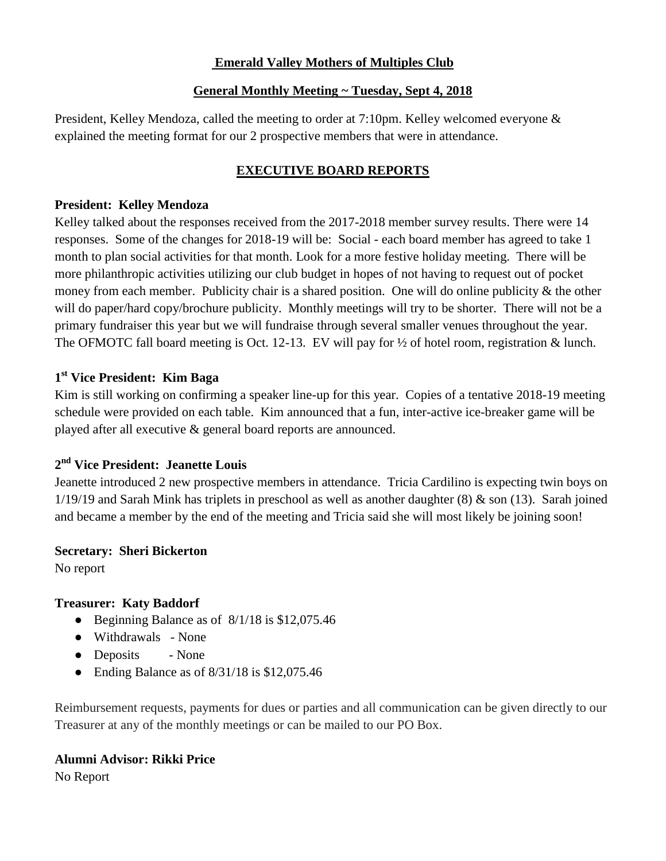## **Emerald Valley Mothers of Multiples Club**

## **General Monthly Meeting ~ Tuesday, Sept 4, 2018**

President, Kelley Mendoza, called the meeting to order at 7:10pm. Kelley welcomed everyone & explained the meeting format for our 2 prospective members that were in attendance.

# **EXECUTIVE BOARD REPORTS**

#### **President: Kelley Mendoza**

Kelley talked about the responses received from the 2017-2018 member survey results. There were 14 responses. Some of the changes for 2018-19 will be: Social - each board member has agreed to take 1 month to plan social activities for that month. Look for a more festive holiday meeting. There will be more philanthropic activities utilizing our club budget in hopes of not having to request out of pocket money from each member. Publicity chair is a shared position. One will do online publicity  $\&$  the other will do paper/hard copy/brochure publicity. Monthly meetings will try to be shorter. There will not be a primary fundraiser this year but we will fundraise through several smaller venues throughout the year. The OFMOTC fall board meeting is Oct. 12-13. EV will pay for  $\frac{1}{2}$  of hotel room, registration & lunch.

# **1 st Vice President: Kim Baga**

Kim is still working on confirming a speaker line-up for this year. Copies of a tentative 2018-19 meeting schedule were provided on each table. Kim announced that a fun, inter-active ice-breaker game will be played after all executive & general board reports are announced.

# **2 nd Vice President: Jeanette Louis**

Jeanette introduced 2 new prospective members in attendance. Tricia Cardilino is expecting twin boys on  $1/19/19$  and Sarah Mink has triplets in preschool as well as another daughter  $(8)$  & son  $(13)$ . Sarah joined and became a member by the end of the meeting and Tricia said she will most likely be joining soon!

## **Secretary: Sheri Bickerton**

No report

## **Treasurer: Katy Baddorf**

- Beginning Balance as of 8/1/18 is \$12,075.46
- Withdrawals None
- Deposits None
- Ending Balance as of  $8/31/18$  is \$12,075.46

Reimbursement requests, payments for dues or parties and all communication can be given directly to our Treasurer at any of the monthly meetings or can be mailed to our PO Box.

## **Alumni Advisor: Rikki Price**

No Report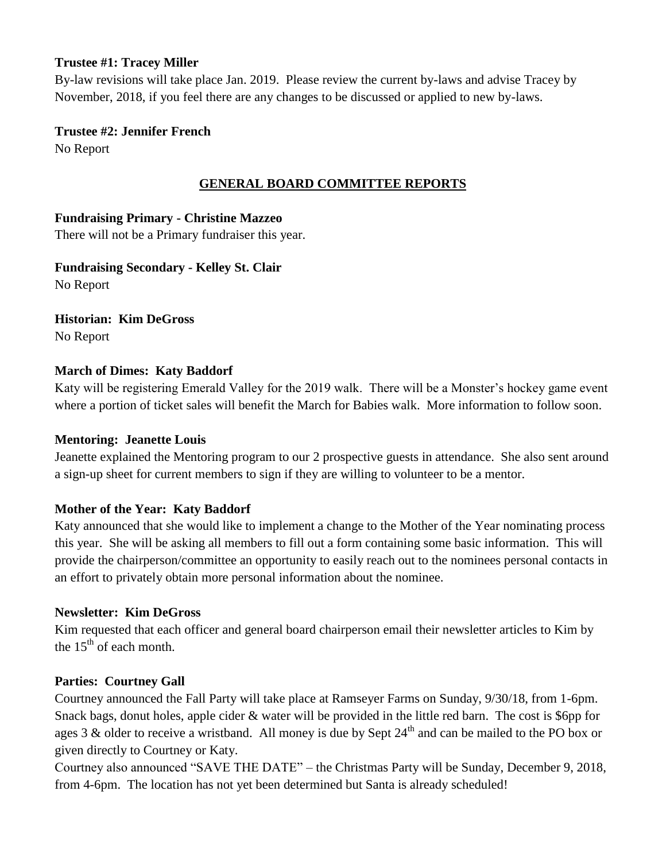#### **Trustee #1: Tracey Miller**

By-law revisions will take place Jan. 2019. Please review the current by-laws and advise Tracey by November, 2018, if you feel there are any changes to be discussed or applied to new by-laws.

## **Trustee #2: Jennifer French**

No Report

# **GENERAL BOARD COMMITTEE REPORTS**

# **Fundraising Primary - Christine Mazzeo**

There will not be a Primary fundraiser this year.

**Fundraising Secondary - Kelley St. Clair** No Report

#### **Historian: Kim DeGross** No Report

# **March of Dimes: Katy Baddorf**

Katy will be registering Emerald Valley for the 2019 walk. There will be a Monster's hockey game event where a portion of ticket sales will benefit the March for Babies walk. More information to follow soon.

## **Mentoring: Jeanette Louis**

Jeanette explained the Mentoring program to our 2 prospective guests in attendance. She also sent around a sign-up sheet for current members to sign if they are willing to volunteer to be a mentor.

# **Mother of the Year: Katy Baddorf**

Katy announced that she would like to implement a change to the Mother of the Year nominating process this year. She will be asking all members to fill out a form containing some basic information. This will provide the chairperson/committee an opportunity to easily reach out to the nominees personal contacts in an effort to privately obtain more personal information about the nominee.

## **Newsletter: Kim DeGross**

Kim requested that each officer and general board chairperson email their newsletter articles to Kim by the  $15<sup>th</sup>$  of each month.

## **Parties: Courtney Gall**

Courtney announced the Fall Party will take place at Ramseyer Farms on Sunday, 9/30/18, from 1-6pm. Snack bags, donut holes, apple cider & water will be provided in the little red barn. The cost is \$6pp for ages 3  $\&$  older to receive a wristband. All money is due by Sept 24<sup>th</sup> and can be mailed to the PO box or given directly to Courtney or Katy.

Courtney also announced "SAVE THE DATE" – the Christmas Party will be Sunday, December 9, 2018, from 4-6pm. The location has not yet been determined but Santa is already scheduled!